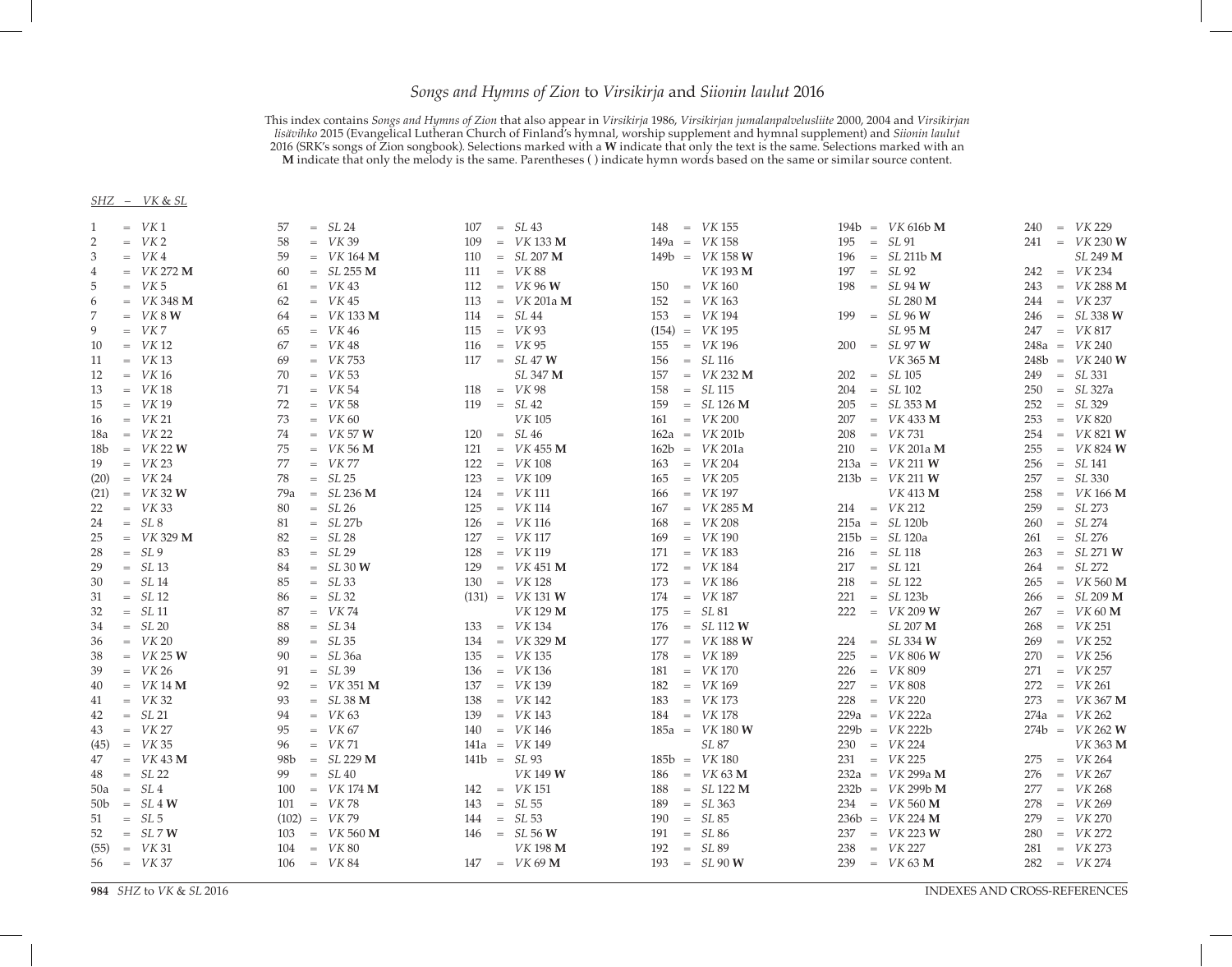## *Songs and Hymns of Zion* to *Virsikirja* and *Siionin laulut* 2016

This index contains *Songs and Hymns of Zion* that also appear in *Virsikirja* 1986, *Virsikirjan jumalanpalvelusliite* 2000, 2004 and *Virsikirjan lisävihko* 2015 (Evangelical Lutheran Church of Finland's hymnal, worship supplement and hymnal supplement) and *Siionin laulut* 2016 (SRK's songs of Zion songbook). Selections marked with a **W** indicate that only the text is the same. Selections marked with an **M** indicate that only the melody is the same. Parentheses ( ) indicate hymn words based on the same or similar source content.

## *SHZ* – *VK* & *SL*

| 1              | $=$ VK1        | 57              | $= SL24$                  |     | $107 = SL43$       |               | $148 = VK 155$             |     | $194b = VK 616b M$         |     | $240 = VK 229$             |
|----------------|----------------|-----------------|---------------------------|-----|--------------------|---------------|----------------------------|-----|----------------------------|-----|----------------------------|
| 2              | $=$ $VK2$      | 58              | $=$ $VK39$                | 109 | $=$ VK 133 M       |               | $149a = VK 158$            | 195 | $= SL91$                   |     | $241 = VK 230 W$           |
| 3              | $=$ VK4        | 59              | $=$ VK 164 M              | 110 | $= SL 207 M$       |               | $149b = VK 158 W$          | 196 | $= SL 211b M$              |     | SL 249 M                   |
| $\overline{4}$ | $=$ $VK 272 M$ | 60              | $= SL 255 M$              |     | $111 = VK 88$      |               | VK 193 M                   |     | $197 = SL 92$              |     | $242 = VK 234$             |
| 5              | $=$ VK 5       | 61              | $=$ VK 43                 |     | $112 = VK 96 W$    |               | $150 = VK 160$             | 198 | $= SL94 W$                 | 243 | $=$ $VK 288 \text{ M}$     |
| 6              | $=$ VK 348 M   | 62              | $=$ VK 45                 | 113 | $=$ $VK$ 201a M    |               | $152 = VK 163$             |     | SL 280 M                   |     | $244 = VK 237$             |
| 7              | $=$ $VK 8 W$   | 64              | $=$ VK 133 M              | 114 | $= SL44$           |               | $153 = VK 194$             |     | $199 = SL 96 W$            |     | $246 = SL 338 W$           |
| 9              | $=$ VK7        | 65              | $=$ VK 46                 | 115 | $=$ $VK 93$        |               | $(154) = VK195$            |     | SL 95 M                    | 247 | $=$ $VK 817$               |
| 10             | $=$ $VK 12$    | 67              | $=$ VK 48                 | 116 | $=$ $VK 95$        |               | $155 = VK 196$             |     | $200 = SL 97 W$            |     | $248a = VK 240$            |
| 11             | $=$ $VK 13$    | 69              | $=$ VK 753                |     | $117 = SL 47 W$    |               | $156 = SL 116$             |     | VK 365 M                   |     | $248b = VK 240 W$          |
| 12             | $=$ VK 16      | 70              | $=$ $VK 53$               |     | SL 347 M           |               | $157 = VK 232 M$           |     | $202 = SL 105$             | 249 | $= SL 331$                 |
| 13             | $=$ VK 18      | 71              | $=$ VK 54                 | 118 | $=$ VK 98          | 158           | $= SL115$                  |     | $204 = SL 102$             | 250 | $= SL 327a$                |
| 15             | $=$ $VK 19$    | 72              | $=$ VK 58                 | 119 | $= SL42$           |               | $159 = SL 126 M$           |     | $205 = SL 353 M$           | 252 | $= SL 329$                 |
| 16             | $=$ $VK 21$    | 73              | $=$ $VK 60$               |     | <b>VK105</b>       |               | $161 = VK 200$             |     | $207 = VK 433 M$           | 253 | $=$ $VK 820$               |
| 18a            | $=$ $VK 22$    | 74              | $=$ <i>VK</i> 57 <b>W</b> | 120 | $= SL46$           |               | $162a = VK 201b$           | 208 | $=$ VK 731                 | 254 | $=$ <i>VK</i> 821 <b>W</b> |
| 18b            | $=$ $VK 22 W$  | 75              | $=$ $VK 56 M$             | 121 | $=$ VK 455 M       |               | $162b = VK 201a$           |     | $210 = VK 201a M$          | 255 | $=$ VK 824 W               |
| 19             | $=$ $VK 23$    | 77              | $=$ VK 77                 | 122 | $=$ <i>VK</i> 108  |               | $163 = VK 204$             |     | $213a = VK 211 W$          | 256 | $= SL141$                  |
| (20)           | $=$ $VK 24$    | 78              | $= SL25$                  | 123 | $=$ $VK 109$       |               | $165 = VK 205$             |     | $213b = VK 211 W$          | 257 | $= SL 330$                 |
| (21)           | $=$ $VK 32 W$  | 79a             | $= SL236 M$               | 124 | $=$ <i>VK</i> 111  |               | $166 = VK 197$             |     | VK 413 M                   | 258 | $=$ <i>VK</i> 166 <b>M</b> |
| 22             | $=$ VK 33      | 80              | $= SL26$                  | 125 | $=$ <i>VK</i> 114  |               | $167 = VK 285 M$           |     | $214 = VK 212$             | 259 | $= SL 273$                 |
| 24             | $= SL8$        | 81              | $= SL 27b$                | 126 | $=$ <i>VK</i> 116  | 168           | $=$ $VK 208$               |     | $215a = SL 120b$           | 260 | $= SL274$                  |
| 25             | $=$ VK 329 M   | 82              | $= SL28$                  | 127 | $=$ VK 117         | 169           | $=$ <i>VK</i> 190          |     | $215b = SL 120a$           | 261 | $= SL 276$                 |
| 28             | $= SL9$        | 83              | $= SL29$                  | 128 | $=$ <i>VK</i> 119  |               | $171 = VK 183$             |     | $216 = SL 118$             | 263 | $= SL 271 W$               |
| 29             | $= SL13$       | 84              | $= SL30 W$                | 129 | $=$ VK 451 M       |               | $172 = VK 184$             |     | $217 = SL 121$             | 264 | $= SL 272$                 |
| 30             | $= SL14$       | 85              | $= SL33$                  |     | $130 = VK 128$     | 173           | $=$ <i>VK</i> 186          | 218 | $= SL 122$                 | 265 | $=$ VK 560 M               |
| 31             | $= SL12$       | 86              | $= SL32$                  |     | $(131) = VK 131 W$ |               | $174 = VK 187$             |     | $221 = SL 123b$            | 266 | $= SL209$ M                |
| 32             | $= SL11$       | 87              | $=$ VK 74                 |     | VK 129 M           | $175 = SL 81$ |                            |     | $222 = VK 209 W$           | 267 | $=$ $VK 60 M$              |
| 34             | $= SL20$       | 88              | $= SL34$                  |     | $133 = VK 134$     |               | $176 = SL 112 W$           |     | SL 207 M                   | 268 | $=$ $VK 251$               |
| 36             | $=$ $VK 20$    | 89              | $= SL35$                  | 134 | $=$ VK 329 M       | 177           | $=$ <i>VK</i> 188 <b>W</b> |     | $224 = SL 334 W$           | 269 | $=$ $VK 252$               |
| 38             | $=$ VK 25 W    | 90              | $= SL36a$                 |     | $135 = VK 135$     | 178           | $=$ VK 189                 | 225 | $=$ <i>VK</i> 806 <b>W</b> | 270 | $=$ <i>VK</i> 256          |
| 39             | $=$ $VK 26$    | 91              | $= SL39$                  |     | $136 = VK136$      |               | $181 = VK 170$             |     | $226 = VK 809$             | 271 | $=$ VK 257                 |
| 40             | $=$ $VK 14 M$  | 92              | $=$ VK 351 M              | 137 | $=$ $VK 139$       |               | $182 = VK 169$             | 227 | $=$ VK 808                 | 272 | $=$ VK 261                 |
| 41             | $=$ VK 32      | 93              | $= SL38$ M                | 138 | $=$ <i>VK</i> 142  |               | $183 = VK 173$             |     | $228 = VK 220$             | 273 | $=$ VK 367 M               |
| 42             | $= SL21$       | 94              | $=$ VK 63                 | 139 | $=$ VK 143         |               | $184 = VK 178$             |     | $229a = VK 222a$           |     | $274a = VK 262$            |
| 43             | $=$ VK 27      | 95              | $=$ VK 67                 | 140 | $=$ VK 146         |               | $185a = VK 180 W$          |     | $229b = VK 222b$           |     | $274b = VK 262 W$          |
| (45)           | $=$ VK 35      | 96              | $=$ VK 71                 |     | $141a = VK 149$    |               | SL 87                      |     | $230 = VK 224$             |     | VK 363 M                   |
| 47             | $=$ VK 43 M    | 98 <sub>b</sub> | $= SL229$ M               |     | $141b = SL93$      |               | $185b = VK180$             |     | $231 = VK 225$             |     | $275 = VK 264$             |
| 48             | $= SL22$       | 99              | $= SL40$                  |     | <b>VK149W</b>      |               | $186 = VK 63 M$            |     | $232a = VK 299a M$         | 276 | $=$ VK 267                 |
| 50a            | $= SL4$        | 100             | $=$ VK 174 M              |     | $142 = VK 151$     | 188           | $= SL122 M$                |     | $232b = VK 299b M$         | 277 | $=$ VK 268                 |
|                | $50b = SL4W$   | 101             | $=$ VK 78                 | 143 | $= SL55$           | 189           | $= SL363$                  |     | $234 = VK 560 M$           | 278 | $=$ VK 269                 |
| 51             | $= SL5$        |                 | $(102) = VK79$            |     | $144 = SL53$       | 190           | $= SL85$                   |     | $236b = VK 224 M$          | 279 | $=$ VK 270                 |
| 52             | $= SL7W$       | 103             | $=$ $VK 560 M$            |     | $146 = SL 56 W$    | 191           | $= SL86$                   |     | $237 = VK 223 W$           | 280 | $=$ VK 272                 |
| (55)           | $=$ VK 31      | 104             | $=$ $VK 80$               |     | <b>VK 198 M</b>    | 192           | $= SL89$                   | 238 | $=$ VK 227                 | 281 | $=$ $VK 273$               |
| 56             | $=$ VK 37      |                 | $106 = VK 84$             |     | $147 = VK 69 M$    |               | $193 = SL 90 W$            | 239 | $=$ VK 63 M                | 282 | $=$ $VK 274$               |
|                |                |                 |                           |     |                    |               |                            |     |                            |     |                            |

*SHZ* to *VK* & *SL* 2016 INDEXES AND CROSS-REFERENCES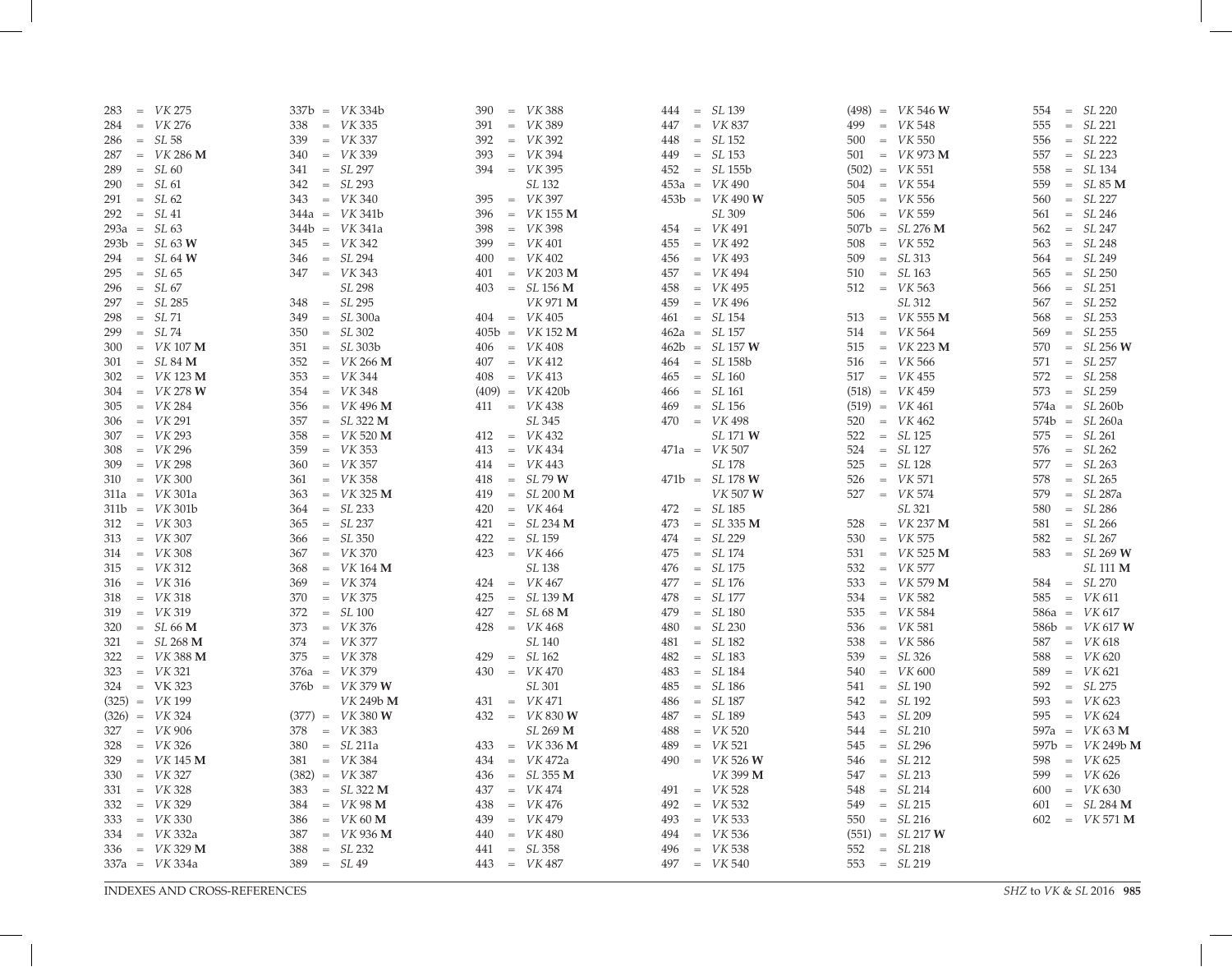| $284 = VK 276$<br>$=$ <i>VK</i> 335<br>$=$ VK 389<br>$=$ VK 548<br>$= SL 221$<br>338<br>391<br>$=$ VK 837<br>447<br>499<br>555<br>$=$ VK 337<br>$=$ VK 392<br>$= SL 152$<br>$500 = VK 550$<br>$286 = SL 58$<br>339<br>392<br>$= SL 222$<br>448<br>556<br>$=$ VK 286 M<br>$=$ <i>VK</i> 339<br>$=$ VK 394<br>$= SL 153$<br>$501 = VK 973 M$<br>$= SL 223$<br>340<br>393<br>449<br>557<br>287<br>$= SL 297$<br>$= SL 60$<br>$394 = VK 395$<br>$452 = SL 155b$<br>$(502) = VK 551$<br>$= SL134$<br>289<br>341<br>558<br>$= SL 293$<br>SL 132<br>$504 = VK 554$<br>$290 = SL61$<br>342<br>$453a = VK 490$<br>559<br>$= SL85 M$<br>$=$ VK 397<br>$291 = SL62$<br>$343 = VK340$<br>$453b = VK 490 W$<br>$=$ VK 556<br>$= SL227$<br>395<br>560<br>505<br>SL 309<br>$506 = VK 559$<br>$= SL246$<br>$292 = SL41$<br>$344a = VK 341b$<br>396<br>$=$ VK 155 M<br>561<br>$454 = VK 491$<br>$507b = SL 276 M$<br>$293a = SL63$<br>$344b = VK 341a$<br>398<br>$=$ VK 398<br>562<br>$= SL\,247$<br>$345 = VK 342$<br>$=$ VK 401<br>$455 = VK 492$<br>$=$ <i>VK</i> 552<br>$= SL248$<br>$293b = SL 63 W$<br>399<br>563<br>508<br>$= SL294$<br>$= SL313$<br>$= SL249$<br>$294 = SL 64 W$<br>400<br>$=$ VK 402<br>$456 = VK 493$<br>346<br>509<br>564<br>$347 = VK 343$<br>$295 = SL65$<br>$401 = VK 203 M$<br>$457 = VK 494$<br>$= SL163$<br>565<br>$= SL 250$<br>510<br>SL 298<br>$296 = SL67$<br>$403 = SL 156 M$<br>$=$ VK 495<br>$= SL 251$<br>458<br>$512 = VK563$<br>566<br>$= SL 295$<br>VK 971 M<br>SL 312<br>$297 = SL\,285$<br>$459 = VK 496$<br>$= SL 252$<br>348<br>567<br>$= SL71$<br>$= SL300a$<br>$404 = VK 405$<br>$461 = SL 154$<br>$=$ <i>VK</i> 555 <b>M</b><br>568<br>$= SL 253$<br>298<br>349<br>513<br>$= SL74$<br>$= SL 302$<br>$405b = VK 152 M$<br>$462a = SL 157$<br>$514 = VK 564$<br>$= SL 255$<br>299<br>350<br>569 |                        |
|---------------------------------------------------------------------------------------------------------------------------------------------------------------------------------------------------------------------------------------------------------------------------------------------------------------------------------------------------------------------------------------------------------------------------------------------------------------------------------------------------------------------------------------------------------------------------------------------------------------------------------------------------------------------------------------------------------------------------------------------------------------------------------------------------------------------------------------------------------------------------------------------------------------------------------------------------------------------------------------------------------------------------------------------------------------------------------------------------------------------------------------------------------------------------------------------------------------------------------------------------------------------------------------------------------------------------------------------------------------------------------------------------------------------------------------------------------------------------------------------------------------------------------------------------------------------------------------------------------------------------------------------------------------------------------------------------------------------------------------------------------------------------------------------------------------------------------|------------------------|
|                                                                                                                                                                                                                                                                                                                                                                                                                                                                                                                                                                                                                                                                                                                                                                                                                                                                                                                                                                                                                                                                                                                                                                                                                                                                                                                                                                                                                                                                                                                                                                                                                                                                                                                                                                                                                                 |                        |
|                                                                                                                                                                                                                                                                                                                                                                                                                                                                                                                                                                                                                                                                                                                                                                                                                                                                                                                                                                                                                                                                                                                                                                                                                                                                                                                                                                                                                                                                                                                                                                                                                                                                                                                                                                                                                                 |                        |
|                                                                                                                                                                                                                                                                                                                                                                                                                                                                                                                                                                                                                                                                                                                                                                                                                                                                                                                                                                                                                                                                                                                                                                                                                                                                                                                                                                                                                                                                                                                                                                                                                                                                                                                                                                                                                                 |                        |
|                                                                                                                                                                                                                                                                                                                                                                                                                                                                                                                                                                                                                                                                                                                                                                                                                                                                                                                                                                                                                                                                                                                                                                                                                                                                                                                                                                                                                                                                                                                                                                                                                                                                                                                                                                                                                                 |                        |
|                                                                                                                                                                                                                                                                                                                                                                                                                                                                                                                                                                                                                                                                                                                                                                                                                                                                                                                                                                                                                                                                                                                                                                                                                                                                                                                                                                                                                                                                                                                                                                                                                                                                                                                                                                                                                                 |                        |
|                                                                                                                                                                                                                                                                                                                                                                                                                                                                                                                                                                                                                                                                                                                                                                                                                                                                                                                                                                                                                                                                                                                                                                                                                                                                                                                                                                                                                                                                                                                                                                                                                                                                                                                                                                                                                                 |                        |
|                                                                                                                                                                                                                                                                                                                                                                                                                                                                                                                                                                                                                                                                                                                                                                                                                                                                                                                                                                                                                                                                                                                                                                                                                                                                                                                                                                                                                                                                                                                                                                                                                                                                                                                                                                                                                                 |                        |
|                                                                                                                                                                                                                                                                                                                                                                                                                                                                                                                                                                                                                                                                                                                                                                                                                                                                                                                                                                                                                                                                                                                                                                                                                                                                                                                                                                                                                                                                                                                                                                                                                                                                                                                                                                                                                                 |                        |
|                                                                                                                                                                                                                                                                                                                                                                                                                                                                                                                                                                                                                                                                                                                                                                                                                                                                                                                                                                                                                                                                                                                                                                                                                                                                                                                                                                                                                                                                                                                                                                                                                                                                                                                                                                                                                                 |                        |
|                                                                                                                                                                                                                                                                                                                                                                                                                                                                                                                                                                                                                                                                                                                                                                                                                                                                                                                                                                                                                                                                                                                                                                                                                                                                                                                                                                                                                                                                                                                                                                                                                                                                                                                                                                                                                                 |                        |
|                                                                                                                                                                                                                                                                                                                                                                                                                                                                                                                                                                                                                                                                                                                                                                                                                                                                                                                                                                                                                                                                                                                                                                                                                                                                                                                                                                                                                                                                                                                                                                                                                                                                                                                                                                                                                                 |                        |
|                                                                                                                                                                                                                                                                                                                                                                                                                                                                                                                                                                                                                                                                                                                                                                                                                                                                                                                                                                                                                                                                                                                                                                                                                                                                                                                                                                                                                                                                                                                                                                                                                                                                                                                                                                                                                                 |                        |
|                                                                                                                                                                                                                                                                                                                                                                                                                                                                                                                                                                                                                                                                                                                                                                                                                                                                                                                                                                                                                                                                                                                                                                                                                                                                                                                                                                                                                                                                                                                                                                                                                                                                                                                                                                                                                                 |                        |
|                                                                                                                                                                                                                                                                                                                                                                                                                                                                                                                                                                                                                                                                                                                                                                                                                                                                                                                                                                                                                                                                                                                                                                                                                                                                                                                                                                                                                                                                                                                                                                                                                                                                                                                                                                                                                                 |                        |
|                                                                                                                                                                                                                                                                                                                                                                                                                                                                                                                                                                                                                                                                                                                                                                                                                                                                                                                                                                                                                                                                                                                                                                                                                                                                                                                                                                                                                                                                                                                                                                                                                                                                                                                                                                                                                                 |                        |
| $300 = VK 107 M$<br>$= SL303b$<br>$406 = VK 408$<br>$462b = SL 157 W$<br>$=$ VK 223 M<br>$= SL 256 W$<br>351<br>515<br>570                                                                                                                                                                                                                                                                                                                                                                                                                                                                                                                                                                                                                                                                                                                                                                                                                                                                                                                                                                                                                                                                                                                                                                                                                                                                                                                                                                                                                                                                                                                                                                                                                                                                                                      |                        |
| $464 = SL 158b$<br>$301 = SL 84 M$<br>352<br>$=$ VK 266 M<br>$407 = VK 412$<br>$=$ <i>VK</i> 566<br>571<br>$= SL 257$<br>516                                                                                                                                                                                                                                                                                                                                                                                                                                                                                                                                                                                                                                                                                                                                                                                                                                                                                                                                                                                                                                                                                                                                                                                                                                                                                                                                                                                                                                                                                                                                                                                                                                                                                                    |                        |
| $302 = VK 123 M$<br>$=$ VK 344<br>$408 = VK 413$<br>$465 = SL160$<br>$517 = VK 455$<br>$= SL 258$<br>353<br>572                                                                                                                                                                                                                                                                                                                                                                                                                                                                                                                                                                                                                                                                                                                                                                                                                                                                                                                                                                                                                                                                                                                                                                                                                                                                                                                                                                                                                                                                                                                                                                                                                                                                                                                 |                        |
| $=$ VK 348<br>$466 = SL 161$<br>$(518) = VK 459$<br>$= SL 259$<br>$304 = VK 278 W$<br>354<br>$(409) = VK 420b$<br>573                                                                                                                                                                                                                                                                                                                                                                                                                                                                                                                                                                                                                                                                                                                                                                                                                                                                                                                                                                                                                                                                                                                                                                                                                                                                                                                                                                                                                                                                                                                                                                                                                                                                                                           |                        |
| $305 = VK 284$<br>$356 = VK 496 M$<br>$469 = SL 156$<br>$411 = VK 438$<br>$(519) = VK461$<br>$574a = SL 260b$                                                                                                                                                                                                                                                                                                                                                                                                                                                                                                                                                                                                                                                                                                                                                                                                                                                                                                                                                                                                                                                                                                                                                                                                                                                                                                                                                                                                                                                                                                                                                                                                                                                                                                                   |                        |
| $306 = VK 291$<br>$= SL322 M$<br>SL 345<br>$470 = VK 498$<br>$=$ VK 462<br>$574b = SL 260a$<br>357<br>520                                                                                                                                                                                                                                                                                                                                                                                                                                                                                                                                                                                                                                                                                                                                                                                                                                                                                                                                                                                                                                                                                                                                                                                                                                                                                                                                                                                                                                                                                                                                                                                                                                                                                                                       |                        |
| $= SL 125$<br>$307 = VK 293$<br>$=$ $VK 520 M$<br>$412 = VK 432$<br><i>SL</i> 171 <b>W</b><br>522<br>$= SL261$<br>358<br>575                                                                                                                                                                                                                                                                                                                                                                                                                                                                                                                                                                                                                                                                                                                                                                                                                                                                                                                                                                                                                                                                                                                                                                                                                                                                                                                                                                                                                                                                                                                                                                                                                                                                                                    |                        |
| $308 = VK 296$<br>$=$ <i>VK</i> 353<br>$471a = VK 507$<br>$=$ VK 434<br>524<br>$= SL 127$<br>576<br>$= SL262$<br>359<br>413                                                                                                                                                                                                                                                                                                                                                                                                                                                                                                                                                                                                                                                                                                                                                                                                                                                                                                                                                                                                                                                                                                                                                                                                                                                                                                                                                                                                                                                                                                                                                                                                                                                                                                     |                        |
| $309 = VK 298$<br>$=$ VK 357<br>$414 = VK 443$<br>SL 178<br>$= SL 128$<br>$= SL263$<br>360<br>525<br>577                                                                                                                                                                                                                                                                                                                                                                                                                                                                                                                                                                                                                                                                                                                                                                                                                                                                                                                                                                                                                                                                                                                                                                                                                                                                                                                                                                                                                                                                                                                                                                                                                                                                                                                        |                        |
| $310 = VK 300$<br>$=$ <i>VK</i> 358<br>$= SL79$ W<br>418<br>$471b = SL 178 W$<br>$=$ VK 571<br>578<br>$= SL265$<br>361<br>526                                                                                                                                                                                                                                                                                                                                                                                                                                                                                                                                                                                                                                                                                                                                                                                                                                                                                                                                                                                                                                                                                                                                                                                                                                                                                                                                                                                                                                                                                                                                                                                                                                                                                                   |                        |
| $=$ <i>VK</i> 325 <b>M</b><br>$311a = VK 301a$<br>419<br>$= SL200 M$<br><i>VK</i> 507 <b>W</b><br>$527 = VK 574$<br>579<br>$= SL 287a$<br>363                                                                                                                                                                                                                                                                                                                                                                                                                                                                                                                                                                                                                                                                                                                                                                                                                                                                                                                                                                                                                                                                                                                                                                                                                                                                                                                                                                                                                                                                                                                                                                                                                                                                                   |                        |
| $311b = VK301b$<br>$= SL 233$<br>$=$ VK 464<br>$472 = SL 185$<br>SL 321<br>$= SL286$<br>420<br>580<br>364                                                                                                                                                                                                                                                                                                                                                                                                                                                                                                                                                                                                                                                                                                                                                                                                                                                                                                                                                                                                                                                                                                                                                                                                                                                                                                                                                                                                                                                                                                                                                                                                                                                                                                                       |                        |
| $= SL 237$<br>$=$ VK 237 M<br>$= SL266$<br>$312 = VK 303$<br>421<br>$= SL 234 M$<br>473<br>$= SL 335 M$<br>365<br>528<br>581                                                                                                                                                                                                                                                                                                                                                                                                                                                                                                                                                                                                                                                                                                                                                                                                                                                                                                                                                                                                                                                                                                                                                                                                                                                                                                                                                                                                                                                                                                                                                                                                                                                                                                    |                        |
| $313 = VK 307$<br>$= SL 159$<br>$474 = SL 229$<br>$=$ VK 575<br>$= SL 350$<br>422<br>582<br>$= SL 267$<br>366<br>530                                                                                                                                                                                                                                                                                                                                                                                                                                                                                                                                                                                                                                                                                                                                                                                                                                                                                                                                                                                                                                                                                                                                                                                                                                                                                                                                                                                                                                                                                                                                                                                                                                                                                                            |                        |
| $475 = SL 174$<br>$314 = VK 308$<br>$=$ VK 370<br>$423 = VK 466$<br>$=$ VK 525 M<br>$583 = SL 269 W$<br>367<br>531                                                                                                                                                                                                                                                                                                                                                                                                                                                                                                                                                                                                                                                                                                                                                                                                                                                                                                                                                                                                                                                                                                                                                                                                                                                                                                                                                                                                                                                                                                                                                                                                                                                                                                              |                        |
| SL 138<br>$= SL 175$<br>$=$ VK 577<br>$315 = VK 312$<br>$=$ VK 164 M<br>476<br>532<br>368                                                                                                                                                                                                                                                                                                                                                                                                                                                                                                                                                                                                                                                                                                                                                                                                                                                                                                                                                                                                                                                                                                                                                                                                                                                                                                                                                                                                                                                                                                                                                                                                                                                                                                                                       | <i>SL</i> 111 <b>M</b> |
| $316 = VK 316$<br>$=$ VK 374<br>$=$ VK 467<br>$477 = SL 176$<br>$=$ VK 579 M<br>$= SL 270$<br>369<br>424<br>584                                                                                                                                                                                                                                                                                                                                                                                                                                                                                                                                                                                                                                                                                                                                                                                                                                                                                                                                                                                                                                                                                                                                                                                                                                                                                                                                                                                                                                                                                                                                                                                                                                                                                                                 |                        |
| 533<br>$=$ VK 318<br>$=$ VK 375<br>$= SL139 M$<br>$= SL 177$<br>$=$ VK 582<br>$585 = VK 611$<br>318<br>370<br>425<br>478<br>534                                                                                                                                                                                                                                                                                                                                                                                                                                                                                                                                                                                                                                                                                                                                                                                                                                                                                                                                                                                                                                                                                                                                                                                                                                                                                                                                                                                                                                                                                                                                                                                                                                                                                                 |                        |
| $= SL 100$<br>$= SL180$<br>$=$ VK 584<br>$319 = VK 319$<br>427<br>$= SL68$ M<br>479<br>$586a = VK 617$<br>372<br>535                                                                                                                                                                                                                                                                                                                                                                                                                                                                                                                                                                                                                                                                                                                                                                                                                                                                                                                                                                                                                                                                                                                                                                                                                                                                                                                                                                                                                                                                                                                                                                                                                                                                                                            |                        |
| $=$ VK 376<br>$= SL 230$<br>373<br>428<br>480                                                                                                                                                                                                                                                                                                                                                                                                                                                                                                                                                                                                                                                                                                                                                                                                                                                                                                                                                                                                                                                                                                                                                                                                                                                                                                                                                                                                                                                                                                                                                                                                                                                                                                                                                                                   |                        |
| $320 = SL 66 M$<br>$=$ VK 468<br>$=$ VK 581<br>$586b = VK 617 W$<br>536<br>$321 = SL 268 M$<br>$=$ VK 377<br>SL 140<br>$= SL 182$<br>$=$ VK 586<br>$=$ VK 618<br>374                                                                                                                                                                                                                                                                                                                                                                                                                                                                                                                                                                                                                                                                                                                                                                                                                                                                                                                                                                                                                                                                                                                                                                                                                                                                                                                                                                                                                                                                                                                                                                                                                                                            |                        |
| 481<br>587<br>538<br>$375 = VK 378$<br>$= SL183$<br>$= SL 326$<br>429<br>482<br>588                                                                                                                                                                                                                                                                                                                                                                                                                                                                                                                                                                                                                                                                                                                                                                                                                                                                                                                                                                                                                                                                                                                                                                                                                                                                                                                                                                                                                                                                                                                                                                                                                                                                                                                                             |                        |
| $322 = VK 388 M$<br>$= SL162$<br>$=$ <i>VK</i> 620<br>539<br>$323 = VK 321$<br>$376a = VK 379$<br>$430 = VK 470$<br>$= SL184$<br>483<br>589                                                                                                                                                                                                                                                                                                                                                                                                                                                                                                                                                                                                                                                                                                                                                                                                                                                                                                                                                                                                                                                                                                                                                                                                                                                                                                                                                                                                                                                                                                                                                                                                                                                                                     |                        |
| $=$ <i>VK</i> 600<br>$=$ <i>VK</i> 621<br>540<br>$324 = VK 323$<br>$376b = VK 379 W$<br>SL 301<br>$= SL186$<br>$= SL190$<br>$= SL 275$                                                                                                                                                                                                                                                                                                                                                                                                                                                                                                                                                                                                                                                                                                                                                                                                                                                                                                                                                                                                                                                                                                                                                                                                                                                                                                                                                                                                                                                                                                                                                                                                                                                                                          |                        |
| 485<br>592<br>541<br>$= SL187$<br>$=$ <i>VK</i> 623<br>593                                                                                                                                                                                                                                                                                                                                                                                                                                                                                                                                                                                                                                                                                                                                                                                                                                                                                                                                                                                                                                                                                                                                                                                                                                                                                                                                                                                                                                                                                                                                                                                                                                                                                                                                                                      |                        |
| $(325) = VK199$<br><i>VK</i> 249b M<br>$431 = VK 471$<br>$= SL 192$<br>486<br>542<br>$(377) = VK 380 W$<br>$432 = VK 830 W$<br>$487 = SL 189$<br>$= SL 209$                                                                                                                                                                                                                                                                                                                                                                                                                                                                                                                                                                                                                                                                                                                                                                                                                                                                                                                                                                                                                                                                                                                                                                                                                                                                                                                                                                                                                                                                                                                                                                                                                                                                     |                        |
| $(326) = VK 324$<br>$595 = VK624$<br>543<br>$327 = VK 906$<br>$378 = VK 383$<br>SL 269 M<br>$=$ <i>VK</i> 520<br>$= SL 210$<br>597a = $VK\,63\,M$                                                                                                                                                                                                                                                                                                                                                                                                                                                                                                                                                                                                                                                                                                                                                                                                                                                                                                                                                                                                                                                                                                                                                                                                                                                                                                                                                                                                                                                                                                                                                                                                                                                                               |                        |
| 488<br>544<br>$328 = VK 326$<br>$= SL211a$<br>$=$ VK 521<br>$= SL296$<br>380<br>489<br>545                                                                                                                                                                                                                                                                                                                                                                                                                                                                                                                                                                                                                                                                                                                                                                                                                                                                                                                                                                                                                                                                                                                                                                                                                                                                                                                                                                                                                                                                                                                                                                                                                                                                                                                                      |                        |
| $=$ <i>VK</i> 336 <b>M</b><br>$597b = VK 249b M$<br>433<br>$381 = VK 384$                                                                                                                                                                                                                                                                                                                                                                                                                                                                                                                                                                                                                                                                                                                                                                                                                                                                                                                                                                                                                                                                                                                                                                                                                                                                                                                                                                                                                                                                                                                                                                                                                                                                                                                                                       |                        |
| $329 = VK 145 M$<br>$434 = VK 472a$<br>490<br>$=$ VK 526 W<br>$546 = SL212$<br>$598 = VK625$                                                                                                                                                                                                                                                                                                                                                                                                                                                                                                                                                                                                                                                                                                                                                                                                                                                                                                                                                                                                                                                                                                                                                                                                                                                                                                                                                                                                                                                                                                                                                                                                                                                                                                                                    |                        |
| $330 = VK 327$<br>$436 = SL 355 M$<br>VK 399 M<br>$547 = SL 213$<br>$(382) = VK 387$<br>$599 = VK 626$                                                                                                                                                                                                                                                                                                                                                                                                                                                                                                                                                                                                                                                                                                                                                                                                                                                                                                                                                                                                                                                                                                                                                                                                                                                                                                                                                                                                                                                                                                                                                                                                                                                                                                                          |                        |
| $331 = VK 328$<br>$=$ <i>VK</i> 630<br>$383 = SL 322 M$<br>$=$ VK 474<br>$491 = VK 528$<br>$= SL 214$<br>437<br>548<br>600                                                                                                                                                                                                                                                                                                                                                                                                                                                                                                                                                                                                                                                                                                                                                                                                                                                                                                                                                                                                                                                                                                                                                                                                                                                                                                                                                                                                                                                                                                                                                                                                                                                                                                      |                        |
| $332 = VK 329$<br>$384 = VK 98 M$<br>$=$ VK 476<br>$492 = VK 532$<br>$549 = SL 215$<br>$= SL284 M$<br>438<br>601                                                                                                                                                                                                                                                                                                                                                                                                                                                                                                                                                                                                                                                                                                                                                                                                                                                                                                                                                                                                                                                                                                                                                                                                                                                                                                                                                                                                                                                                                                                                                                                                                                                                                                                |                        |
| $333 = VK 330$<br>$=$ VK 60 M<br>$=$ VK 479<br>$550 = SL 216$<br>439<br>$493 = VK 533$<br>$602 = VK 571 M$<br>386                                                                                                                                                                                                                                                                                                                                                                                                                                                                                                                                                                                                                                                                                                                                                                                                                                                                                                                                                                                                                                                                                                                                                                                                                                                                                                                                                                                                                                                                                                                                                                                                                                                                                                               |                        |
| $334 = VK 332a$<br>$=$ <i>VK</i> 936 <b>M</b><br>$=$ VK 480<br>$494 = VK 536$<br>$(551) = SL 217 W$<br>387<br>440                                                                                                                                                                                                                                                                                                                                                                                                                                                                                                                                                                                                                                                                                                                                                                                                                                                                                                                                                                                                                                                                                                                                                                                                                                                                                                                                                                                                                                                                                                                                                                                                                                                                                                               |                        |
| $336 = VK 329 M$<br>$= SL 232$<br>$= SL358$<br>$496 = VK 538$<br>388<br>441<br>$552 = SL 218$                                                                                                                                                                                                                                                                                                                                                                                                                                                                                                                                                                                                                                                                                                                                                                                                                                                                                                                                                                                                                                                                                                                                                                                                                                                                                                                                                                                                                                                                                                                                                                                                                                                                                                                                   |                        |
| $389 = SL49$<br>$553 = SL 219$<br>$337a = VK 334a$<br>$443 = VK 487$<br>$497 = VK 540$                                                                                                                                                                                                                                                                                                                                                                                                                                                                                                                                                                                                                                                                                                                                                                                                                                                                                                                                                                                                                                                                                                                                                                                                                                                                                                                                                                                                                                                                                                                                                                                                                                                                                                                                          |                        |
| INDEXES AND CROSS-REFERENCES<br>SHZ to VK & SL 2016 985                                                                                                                                                                                                                                                                                                                                                                                                                                                                                                                                                                                                                                                                                                                                                                                                                                                                                                                                                                                                                                                                                                                                                                                                                                                                                                                                                                                                                                                                                                                                                                                                                                                                                                                                                                         |                        |